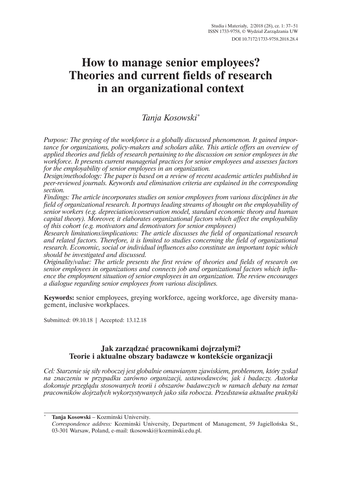# **How to manage senior employees? Theories and current fields of research in an organizational context**

# *Tanja Kosowski*\*

*Purpose: The greying of the workforce is a globally discussed phenomenon. It gained importance for organizations, policy-makers and scholars alike. This article offers an overview of applied theories and fields of research pertaining to the discussion on senior employees in the workforce. It presents current managerial practices for senior employees and assesses factors for the employability of senior employees in an organization.*

*Design/methodology: The paper is based on a review of recent academic articles published in peer-reviewed journals. Keywords and elimination criteria are explained in the corresponding section.*

*Findings: The article incorporates studies on senior employees from various disciplines in the field of organizational research. It portrays leading streams of thought on the employability of senior workers (e.g. depreciation/conservation model, standard economic theory and human capital theory). Moreover, it elaborates organizational factors which affect the employability of this cohort (e.g. motivators and demotivators for senior employees)*

*Research limitations/implications: The article discusses the field of organizational research and related factors. Therefore, it is limited to studies concerning the field of organizational research. Economic, social or individual influences also constitute an important topic which should be investigated and discussed.*

*Originality/value: The article presents the first review of theories and fields of research on senior employees in organizations and connects job and organizational factors which influence the employment situation of senior employees in an organization. The review encourages a dialogue regarding senior employees from various disciplines.*

**Keywords:** senior employees, greying workforce, ageing workforce, age diversity management, inclusive workplaces.

Submitted: 09.10.18 | Accepted: 13.12.18

# **Jak zarzÈdzaÊ pracownikami dojrzaïymi? Teorie i aktualne obszary badawcze w kontekĂcie organizacji**

*Cel: Starzenie się siły roboczej jest globalnie omawianym zjawiskiem, problemem, który zyskał na znaczeniu w przypadku zarówno organizacji, ustawodawców, jak i badaczy. Autorka dokonuje przeglÈdu stosowanych teorii i obszarów badawczych w ramach debaty na temat pracowników dojrzaïych wykorzystywanych jako siïa robocza. Przedstawia aktualne praktyki* 

\* **Tanja Kosowski** – Kozminski University.

*Correspondence address:* Kozminski University, Department of Management, 59 Jagielloñska St., 03-301 Warsaw, Poland, e-mail: tkosowski@kozminski.edu.pl.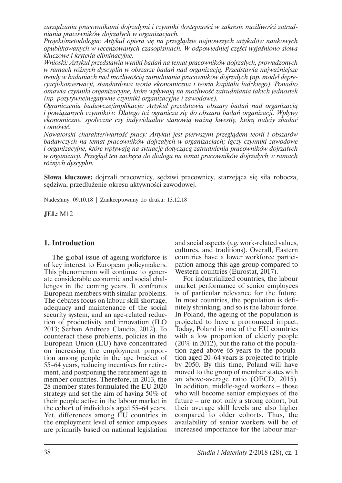*zarzÈdzania pracownikami dojrzaïymi i czynniki dostÚpnoĂci w zakresie moĝliwoĂci zatrudniania pracowników dojrzaïych w organizacjach.*

*Projekt/metodologia: Artykuï opiera siÚ na przeglÈdzie najnowszych artykuïów naukowych opublikowanych w recenzowanych czasopismach. W odpowiedniej części wyjaśniono słowa kluczowe i kryteria eliminacyjne.*

*Wnioski: Artykuï przedstawia wyniki badañ na temat pracowników dojrzaïych, prowadzonych w ramach róĝnych dyscyplin w obszarze badañ nad organizacjÈ. Przedstawia najwaĝniejsze trendy w badaniach nad moĝliwoĂciÈ zatrudniania pracowników dojrzaïych (np. model deprecjacji/konserwacji, standardowa teoria ekonomiczna i teoria kapitaïu ludzkiego). Ponadto omawia czynniki organizacyjne, które wpïywajÈ na moĝliwoĂÊ zatrudniania takich jednostek (np. pozytywne/negatywne czynniki organizacyjne i zawodowe).*

*Ograniczenia badawcze/implikacje: Artykuï przedstawia obszary badañ nad organizacjÈ i powiÈzanych czynników. Dlatego teĝ ogranicza siÚ do obszaru badañ organizacji. Wpïywy ekonomiczne, spoïeczne czy indywidualne stanowiÈ waĝnÈ kwestiÚ, którÈ naleĝy zbadaÊ i omówiÊ.*

*Nowatorski charakter/wartoĂÊ pracy: Artykuï jest pierwszym przeglÈdem teorii i obszarów badawczych na temat pracowników dojrzałych w organizacjach; łączy czynniki zawodowe i organizacyjne, które wpïywajÈ na sytuacjÚ dotyczÈcÈ zatrudnienia pracowników dojrzaïych w organizacji. PrzeglÈd ten zachÚca do dialogu na temat pracowników dojrzaïych w ramach róĝnych dyscyplin.* 

**Słowa kluczowe:** dojrzali pracownicy, sędziwi pracownicy, starzejąca się siła robocza, sędziwa, przedłużenie okresu aktywności zawodowej.

Nadesïany: 09.10.18 | Zaakceptowany do druku: 13.12.18

**JEL:** M12

# **1. Introduction**

The global issue of ageing workforce is of key interest to European policymakers. This phenomenon will continue to generate considerable economic and social challenges in the coming years. It confronts European members with similar problems. The debates focus on labour skill shortage, adequacy and maintenance of the social security system, and an age-related reduction of productivity and innovation (ILO 2013; Serban Andreea Claudia, 2012). To counteract these problems, policies in the European Union (EU) have concentrated on increasing the employment proportion among people in the age bracket of 55–64 years, reducing incentives for retirement, and postponing the retirement age in member countries. Therefore, in 2013, the 28-member states formulated the EU 2020 strategy and set the aim of having 50% of their people active in the labour market in the cohort of individuals aged 55–64 years. Yet, differences among EU countries in the employment level of senior employees are primarily based on national legislation

and social aspects (*e.g.* work-related values, cultures, and traditions). Overall, Eastern countries have a lower workforce participation among this age group compared to Western countries (Eurostat, 2017).

For industrialized countries, the labour market performance of senior employees is of particular relevance for the future. In most countries, the population is definitely shrinking, and so is the labour force. In Poland, the ageing of the population is projected to have a pronounced impact. Today, Poland is one of the EU countries with a low proportion of elderly people (20% in 2012), but the ratio of the population aged above 65 years to the population aged 20–64 years is projected to triple by 2050. By this time, Poland will have moved to the group of member states with an above-average ratio (OECD, 2015). In addition, middle-aged workers – those who will become senior employees of the future – are not only a strong cohort, but their average skill levels are also higher compared to older cohorts. Thus, the availability of senior workers will be of increased importance for the labour mar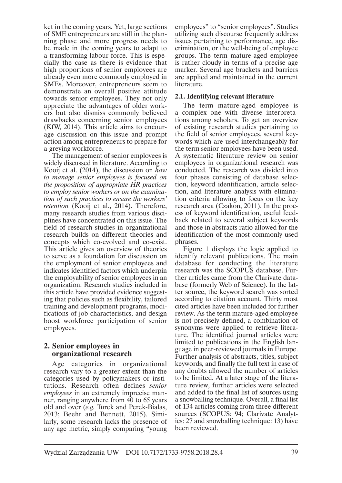ket in the coming years. Yet, large sections of SME entrepreneurs are still in the planning phase and more progress needs to be made in the coming years to adapt to a transforming labour force. This is especially the case as there is evidence that high proportions of senior employees are already even more commonly employed in SMEs. Moreover, entrepreneurs seem to demonstrate an overall positive attitude towards senior employees. They not only appreciate the advantages of older workers but also dismiss commonly believed drawbacks concerning senior employees (KfW, 2014). This article aims to encourage discussion on this issue and prompt action among entrepreneurs to prepare for a greying workforce.

The management of senior employees is widely discussed in literature. According to Kooij et al. (2014), the discussion on *how to manage senior employees is focused on the proposition of appropriate HR practices to employ senior workers or on the examination of such practices to ensure the workers' retention* (Kooij et al., 2014). Therefore, many research studies from various disciplines have concentrated on this issue. The field of research studies in organizational research builds on different theories and concepts which co-evolved and co-exist. This article gives an overview of theories to serve as a foundation for discussion on the employment of senior employees and indicates identified factors which underpin the employability of senior employees in an organization. Research studies included in this article have provided evidence suggesting that policies such as flexibility, tailored training and development programs, modifications of job characteristics, and design boost workforce participation of senior employees.

# **2. Senior employees in organizational research**

Age categories in organizational research vary to a greater extent than the categories used by policymakers or institutions. Research often defines *senior employees* in an extremely imprecise manner, ranging anywhere from 40 to 65 years old and over (*e.g.* Turek and Perek-Bialas, 2013; Beehr and Bennett, 2015). Similarly, some research lacks the presence of any age metric, simply comparing "young

employees" to "senior employees". Studies utilizing such discourse frequently address issues pertaining to performance, age discrimination, or the well-being of employee groups. The term mature-aged employee is rather cloudy in terms of a precise age marker. Several age brackets and barriers are applied and maintained in the current literature.

# **2.1. Identifying relevant literature**

The term mature-aged employee is a complex one with diverse interpretations among scholars. To get an overview of existing research studies pertaining to the field of senior employees, several keywords which are used interchangeably for the term senior employees have been used. A systematic literature review on senior employees in organizational research was conducted. The research was divided into four phases consisting of database selection, keyword identification, article selection, and literature analysis with elimination criteria allowing to focus on the key research area (Czakon, 2011). In the process of keyword identification, useful feedback related to several subject keywords and those in abstracts ratio allowed for the identification of the most commonly used phrases.

Figure 1 displays the logic applied to identify relevant publications. The main database for conducting the literature research was the SCOPUS database. Further articles came from the Clarivate database (formerly Web of Science). In the latter source, the keyword search was sorted according to citation account. Thirty most cited articles have been included for further review. As the term mature-aged employee is not precisely defined, a combination of synonyms were applied to retrieve literature. The identified journal articles were limited to publications in the English language in peer-reviewed journals in Europe. Further analysis of abstracts, titles, subject keywords, and finally the full text in case of any doubts allowed the number of articles to be limited. At a later stage of the literature review, further articles were selected and added to the final list of sources using a snowballing technique. Overall, a final list of 134 articles coming from three different sources (SCOPUS: 94; Clarivate Analytics: 27 and snowballing technique: 13) have been reviewed.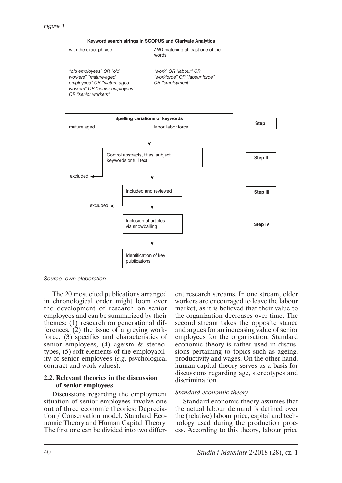

*Source: own elaboration.*

The 20 most cited publications arranged in chronological order might loom over the development of research on senior employees and can be summarized by their themes: (1) research on generational differences, (2) the issue of a greying workforce, (3) specifics and characteristics of senior employees, (4) ageism & stereotypes, (5) soft elements of the employability of senior employees (*e.g*. psychological contract and work values).

#### **2.2. Relevant theories in the discussion of senior employees**

Discussions regarding the employment situation of senior employees involve one out of three economic theories: Depreciation / Conservation model, Standard Economic Theory and Human Capital Theory. The first one can be divided into two differ-

ent research streams. In one stream, older workers are encouraged to leave the labour market, as it is believed that their value to the organization decreases over time. The second stream takes the opposite stance and argues for an increasing value of senior employees for the organisation. Standard economic theory is rather used in discussions pertaining to topics such as ageing, productivity and wages. On the other hand, human capital theory serves as a basis for discussions regarding age, stereotypes and discrimination.

#### *Standard economic theory*

Standard economic theory assumes that the actual labour demand is defined over the (relative) labour price, capital and technology used during the production process. According to this theory, labour price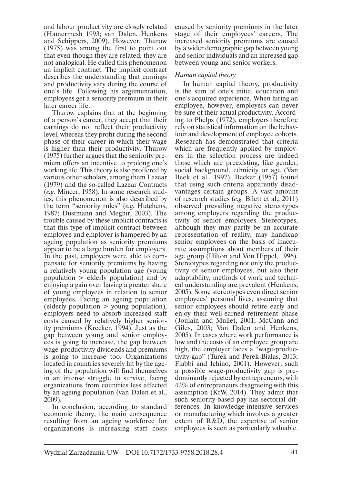and labour productivity are closely related (Hamermesh 1993; van Dalen, Henkens and Schippers, 2009). However, Thurow (1975) was among the first to point out that even though they are related, they are not analogical. He called this phenomenon an implicit contract. The implicit contract describes the understanding that earnings and productivity vary during the course of one's life. Following his argumentation, employees get a seniority premium in their later career life.

Thurow explains that at the beginning of a person's career, they accept that their earnings do not reflect their productivity level, whereas they profit during the second phase of their career in which their wage is higher than their productivity. Thurow (1975) further argues that the seniority premium offers an incentive to prolong one's working life. This theory is also proffered by various other scholars, among them Lazear (1979) and the so-called Lazear Contracts (*e.g.* Mincer, 1958). In some research studies, this phenomenon is also described by the term "seniority rules" (*e.g.* Hutchens, 1987; Dustmann and Meghir, 2003). The trouble caused by these implicit contracts is that this type of implicit contract between employee and employer is hampered by an ageing population as seniority premiums appear to be a large burden for employers. In the past, employers were able to compensate for seniority premiums by having a relatively young population age (young population > elderly population) and by enjoying a gain over having a greater share of young employees in relation to senior employees. Facing an ageing population (elderly population > young population), employers need to absorb increased staff costs caused by relatively higher seniority premiums (Krecker, 1994). Just as the gap between young and senior employees is going to increase, the gap between wage-productivity dividends and premiums is going to increase too. Organizations located in countries severely hit by the ageing of the population will find themselves in an intense struggle to survive, facing organizations from countries less affected by an ageing population (van Dalen et al., 2009).

In conclusion, according to standard economic theory, the main consequence resulting from an ageing workforce for organizations is increasing staff costs

caused by seniority premiums in the later stage of their employees' careers. The increased seniority premiums are caused by a wider demographic gap between young and senior individuals and an increased gap between young and senior workers.

#### *Human capital theory*

In human capital theory, productivity is the sum of one's initial education and one's acquired experience. When hiring an employee, however, employers can never be sure of their actual productivity. According to Phelps (1972), employers therefore rely on statistical information on the behaviour and development of employee cohorts. Research has demonstrated that criteria which are frequently applied by employers in the selection process are indeed those which are preexisting, like gender, social background, ethnicity or age (Van Beek et al., 1997). Becker (1957) found that using such criteria apparently disadvantages certain groups. A vast amount of research studies (*e.g.* Bilett et al., 2011) observed prevailing negative stereotypes among employers regarding the productivity of senior employees. Stereotypes, although they may partly be an accurate representation of reality, may handicap senior employees on the basis of inaccurate assumptions about members of their age group (Hilton and Von Hippel, 1996). Stereotypes regarding not only the productivity of senior employees, but also their adaptability, methods of work and technical understanding are prevalent (Henkens, 2005). Some stereotypes even direct senior employees' personal lives, assuming that senior employees should retire early and enjoy their well-earned retirement phase (Joulain and Mullet, 2001; McCann and Giles, 2003; Van Dalen and Henkens, 2005). In cases where work performance is low and the costs of an employee group are high, the employer faces a "wage-productivity gap" (Turek and Perek-Bialas, 2013; Flabbi and Ichino, 2001). However, such a possible wage-productivity gap is predominantly rejected by entrepreneurs, with 42% of entrepreneurs disagreeing with this assumption (KfW, 2014). They admit that such seniority-based pay has sectorial differences. In knowledge-intensive services or manufacturing which involves a greater extent of R&D, the expertise of senior employees is seen as particularly valuable.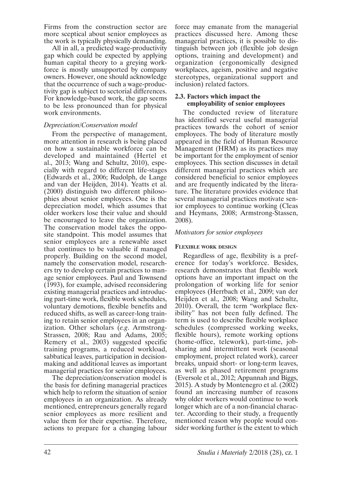Firms from the construction sector are more sceptical about senior employees as the work is typically physically demanding.

All in all, a predicted wage-productivity gap which could be expected by applying human capital theory to a greying workforce is mostly unsupported by company owners. However, one should acknowledge that the occurrence of such a wage-productivity gap is subject to sectorial differences. For knowledge-based work, the gap seems to be less pronounced than for physical work environments.

# *Depreciation/Conservation model*

From the perspective of management, more attention in research is being placed on how a sustainable workforce can be developed and maintained (Hertel et al., 2013; Wang and Schultz, 2010), especially with regard to different life-stages (Edwards et al., 2006; Rudolph, de Lange and van der Heijden, 2014). Yeatts et al. (2000) distinguish two different philosophies about senior employees. One is the depreciation model, which assumes that older workers lose their value and should be encouraged to leave the organization. The conservation model takes the opposite standpoint. This model assumes that senior employees are a renewable asset that continues to be valuable if managed properly. Building on the second model, namely the conservation model, researchers try to develop certain practices to manage senior employees. Paul and Townsend (1993), for example, advised reconsidering existing managerial practices and introducing part-time work, flexible work schedules, voluntary demotions, flexible benefits and reduced shifts, as well as career-long training to retain senior employees in an organization. Other scholars (*e.g*. Armstrong-Strassen, 2008; Rau and Adams, 2005; Remery et al., 2003) suggested specific training programs, a reduced workload, sabbatical leaves, participation in decisionmaking and additional leaves as important managerial practices for senior employees.

The depreciation/conservation model is the basis for defining managerial practices which help to reform the situation of senior employees in an organization. As already mentioned, entrepreneurs generally regard senior employees as more resilient and value them for their expertise. Therefore, actions to prepare for a changing labour

force may emanate from the managerial practices discussed here. Among these managerial practices, it is possible to distinguish between job (flexible job design options, training and development) and organization (ergonomically designed workplaces, ageism, positive and negative stereotypes, organizational support and inclusion) related factors.

## **2.3. Factors which impact the employability of senior employees**

The conducted review of literature has identified several useful managerial practices towards the cohort of senior employees. The body of literature mostly appeared in the field of Human Resource Management (HRM) as its practices may be important for the employment of senior employees. This section discusses in detail different managerial practices which are considered beneficial to senior employees and are frequently indicated by the literature. The literature provides evidence that several managerial practices motivate senior employees to continue working (Cleas and Heymans, 2008; Armstrong-Stassen, 2008).

## *Motivators for senior employees*

#### **FLEXIBLE WORK DESIGN**

Regardless of age, flexibility is a preference for today's workforce. Besides, research demonstrates that flexible work options have an important impact on the prolongation of working life for senior employees (Herrbach et al., 2009; van der Heijden et al., 2008; Wang and Schultz, 2010). Overall, the term "workplace flexibility" has not been fully defined. The term is used to describe flexible workplace schedules (compressed working weeks, flexible hours), remote working options (home-office, telework), part-time, jobsharing and intermittent work (seasonal employment, project related work), career breaks, unpaid short- or long-term leaves, as well as phased retirement programs (Eversole et al., 2012; Appannah and Biggs, 2015). A study by Montenegro et al. (2002) found an increasing number of reasons why older workers would continue to work longer which are of a non-financial character. According to their study, a frequently mentioned reason why people would consider working further is the extent to which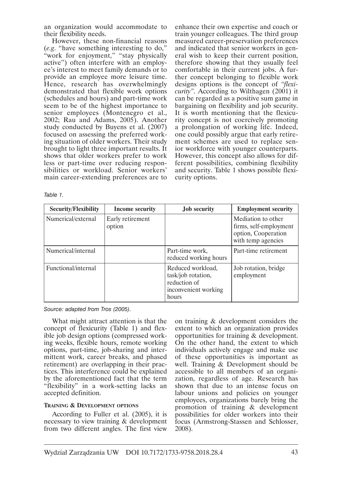an organization would accommodate to their flexibility needs.

However, these non-financial reasons (*e.g*. "have something interesting to do," "work for enjoyment," "stay physically active") often interfere with an employee's interest to meet family demands or to provide an employee more leisure time. Hence, research has overwhelmingly demonstrated that flexible work options (schedules and hours) and part-time work seem to be of the highest importance to senior employees (Montenegro et al., 2002; Rau and Adams, 2005). Another study conducted by Buyens et al. (2007) focused on assessing the preferred working situation of older workers. Their study brought to light three important results. It shows that older workers prefer to work less or part-time over reducing responsibilities or workload. Senior workers' main career-extending preferences are to

enhance their own expertise and coach or train younger colleagues. The third group measured career-preservation preferences and indicated that senior workers in general wish to keep their current position, therefore showing that they usually feel comfortable in their current jobs. A further concept belonging to flexible work designs options is the concept of *"flexicurity"*. According to Wilthagen (2001) it can be regarded as a positive sum game in bargaining on flexibility and job security. It is worth mentioning that the flexicurity concept is not coercively promoting a prolongation of working life. Indeed, one could possibly argue that early retirement schemes are used to replace senior workforce with younger counterparts. However, this concept also allows for different possibilities, combining flexibility and security. Table 1 shows possible flexicurity options.

| <b>Security/Flexibility</b> | Income security            | <b>Job</b> security                                                                      | <b>Employment security</b>                                                                |
|-----------------------------|----------------------------|------------------------------------------------------------------------------------------|-------------------------------------------------------------------------------------------|
| Numerical/external          | Early retirement<br>option |                                                                                          | Mediation to other<br>firms, self-employment<br>option, Cooperation<br>with temp agencies |
| Numerical/internal          |                            | Part-time work,<br>reduced working hours                                                 | Part-time retirement                                                                      |
| Functional/internal         |                            | Reduced workload,<br>task/job rotation,<br>reduction of<br>inconvenient working<br>hours | Job rotation, bridge<br>employment                                                        |

*Table 1.*

*Source: adapted from Tros (2005).*

What might attract attention is that the concept of flexicurity (Table 1) and flexible job design options (compressed working weeks, flexible hours, remote working options, part-time, job-sharing and intermittent work, career breaks, and phased retirement) are overlapping in their practices. This interference could be explained by the aforementioned fact that the term "flexibility" in a work-setting lacks an accepted definition.

#### **TRAINING & DEVELOPMENT OPTIONS**

According to Fuller et al. (2005), it is necessary to view training & development from two different angles. The first view on training & development considers the extent to which an organization provides opportunities for training & development. On the other hand, the extent to which individuals actively engage and make use of these opportunities is important as well. Training & Development should be accessible to all members of an organization, regardless of age. Research has shown that due to an intense focus on labour unions and policies on younger employees, organizations barely bring the promotion of training & development possibilities for older workers into their focus (Armstrong-Stassen and Schlosser, 2008).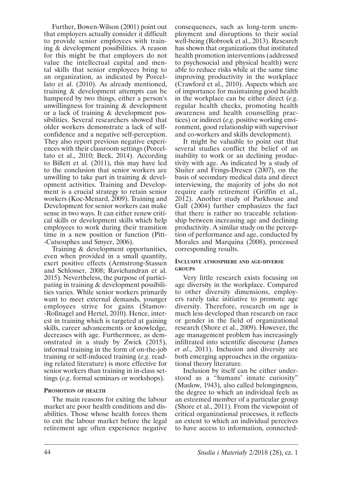Further, Bowen-Wilson (2001) point out that employers actually consider it difficult to provide senior employees with training & development possibilities. A reason for this might be that employers do not value the intellectual capital and mental skills that senior employees bring to an organization, as indicated by Porcellato et al. (2010). As already mentioned, training & development attempts can be hampered by two things, either a person's unwillingness for training & development or a lack of training & development possibilities. Several researchers showed that older workers demonstrate a lack of selfconfidence and a negative self-perception. They also report previous negative experiences with their classroom settings (Porcellato et al., 2010; Beck, 2014). According to Billett et al. (2011), this may have led to the conclusion that senior workers are unwilling to take part in training & development activities. Training and Development is a crucial strategy to retain senior workers (Koc-Menard, 2009). Training and Development for senior workers can make sense in two ways. It can either renew critical skills or development skills which help employees to work during their transition time in a new position or function (Pitt- -Catsouphes and Smyer, 2006).

Training & development opportunities, even when provided in a small quantity, exert positive effects (Armstrong-Stassen and Schlosser, 2008; Ravichandran et al. 2015). Nevertheless, the purpose of participating in training & development possibilities varies. While senior workers primarily want to meet external demands, younger employees strive for gains (Stamov- -Roßnagel and Hertel, 2010). Hence, interest in training which is targeted at gaining skills, career advancements or knowledge, decreases with age. Furthermore, as demonstrated in a study by Zwick (2015), informal training in the form of on-the-job training or self-induced training (*e.g*. reading related literature) is more effective for senior workers than training in in-class settings (*e.g*. formal seminars or workshops).

#### **PROMOTION OF HEALTH**

The main reasons for exiting the labour market are poor health conditions and disabilities. Those whose health forces them to exit the labour market before the legal retirement age often experience negative

consequences, such as long-term unemployment and disruptions to their social well-being (Robroek et al., 2013). Research has shown that organizations that instituted health promotion interventions (addressed to psychosocial and physical health) were able to reduce risks while at the same time improving productivity in the workplace (Crawford et al., 2010). Aspects which are of importance for maintaining good health in the workplace can be either direct (*e.g*. regular health checks, promoting health awareness and health counselling practices) or indirect (*e.g*. positive working environment, good relationship with supervisor and co-workers and skills development).

It might be valuable to point out that several studies conflict the belief of an inability to work or an declining productivity with age. As indicated by a study of Sluiter and Frings-Dresen (2007), on the basis of secondary medical data and direct interviewing, the majority of jobs do not require early retirement (Griffin et al., 2012). Another study of Parkhouse and Gall (2004) further emphasizes the fact that there is rather no traceable relationship between increasing age and declining productivity. A similar study on the perception of performance and age, conducted by Morales and Marquina (2008), processed corresponding results.

#### **INCLUSIVE ATMOSPHERE AND AGE-DIVERSE GROUPS**

Very little research exists focusing on age diversity in the workplace. Compared to other diversity dimensions, employers rarely take initiative to promote age diversity. Therefore, research on age is much less developed than research on race or gender in the field of organizational research (Shore et al., 2009). However, the age management problem has increasingly infiltrated into scientific discourse (James *et al*., 2011). Inclusion and diversity are both emerging approaches in the organizational theory literature.

Inclusion by itself can be either understood as a "humans' innate curiosity" (Maslow, 1943), also called belongingness, the degree to which an individual feels as an esteemed member of a particular group (Shore et al., 2011). From the viewpoint of critical organizational processes, it reflects an extent to which an individual perceives to have access to information, connected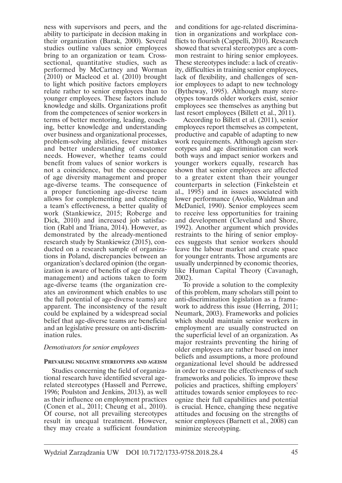ness with supervisors and peers, and the ability to participate in decision making in their organization (Barak, 2000). Several studies outline values senior employees bring to an organization or team*.* Crosssectional, quantitative studies, such as performed by McCartney and Worman (2010) or Macleod et al. (2010) brought to light which positive factors employers relate rather to senior employees than to younger employees. These factors include knowledge and skills. Organizations profit from the competences of senior workers in terms of better mentoring, leading, coaching, better knowledge and understanding over business and organizational processes, problem-solving abilities, fewer mistakes and better understanding of customer needs. However, whether teams could benefit from values of senior workers is not a coincidence, but the consequence of age diversity management and proper age-diverse teams. The consequence of a proper functioning age-diverse team allows for complementing and extending a team's effectiveness, a better quality of work (Stankiewicz, 2015; Roberge and Dick, 2010) and increased job satisfaction (Rabl and Triana, 2014). However, as demonstrated by the already-mentioned research study by Stankiewicz (2015), conducted on a research sample of organizations in Poland, discrepancies between an organization's declared opinion (the organization is aware of benefits of age diversity management) and actions taken to form age-diverse teams (the organization creates an environment which enables to use the full potential of age-diverse teams) are apparent. The inconsistency of the result could be explained by a widespread social belief that age-diverse teams are beneficial and an legislative pressure on anti-discrimination rules.

#### *Demotivators for senior employees*

#### **PREVAILING NEGATIVE STEREOTYPES AND AGEISM**

Studies concerning the field of organizational research have identified several agerelated stereotypes (Hassell and Perrewe, 1996; Poulston and Jenkins, 2013), as well as their influence on employment practices (Conen et al., 2011; Cheung et al., 2010). Of course, not all prevailing stereotypes result in unequal treatment. However, they may create a sufficient foundation

and conditions for age-related discrimination in organizations and workplace conflicts to flourish (Cappelli, 2010). Research showed that several stereotypes are a common restraint to hiring senior employees. These stereotypes include: a lack of creativity, difficulties in training senior employees, lack of flexibility, and challenges of senior employees to adapt to new technology (Bytheway, 1995). Although many stereotypes towards older workers exist, senior employees see themselves as anything but last resort employees (Billett et al., 2011).

According to Billett et al. (2011), senior employees report themselves as competent, productive and capable of adapting to new work requirements. Although ageism stereotypes and age discrimination can work both ways and impact senior workers and younger workers equally, research has shown that senior employees are affected to a greater extent than their younger counterparts in selection (Finkelstein et al., 1995) and in issues associated with lower performance (Avolio, Waldman and McDaniel, 1990). Senior employees seem to receive less opportunities for training and development (Cleveland and Shore, 1992). Another argument which provides restraints to the hiring of senior employees suggests that senior workers should leave the labour market and create space for younger entrants. Those arguments are usually underpinned by economic theories, like Human Capital Theory (Cavanagh, 2002).

To provide a solution to the complexity of this problem, many scholars still point to anti-discrimination legislation as a framework to address this issue (Herring, 2011; Neumark, 2003). Frameworks and policies which should maintain senior workers in employment are usually constructed on the superficial level of an organization. As major restraints preventing the hiring of older employees are rather based on inner beliefs and assumptions, a more profound organizational level should be addressed in order to ensure the effectiveness of such frameworks and policies. To improve these policies and practices, shifting employers' attitudes towards senior employees to recognize their full capabilities and potential is crucial. Hence, changing these negative attitudes and focusing on the strengths of senior employees (Barnett et al., 2008) can minimize stereotyping.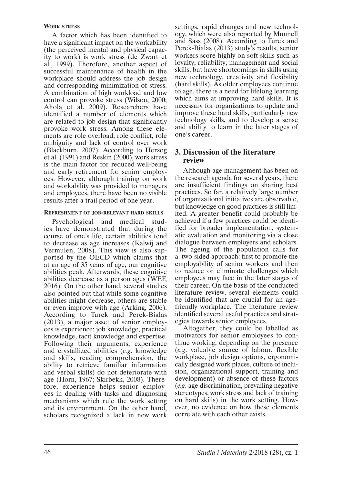#### **WORK STRESS**

A factor which has been identified to have a significant impact on the workability (the perceived mental and physical capacity to work) is work stress (de Zwart et al., 1999). Therefore, another aspect of successful maintenance of health in the workplace should address the job design and corresponding minimization of stress. A combination of high workload and low control can provoke stress (Wilson, 2000; Ahola et al. 2009). Researchers have identified a number of elements which are related to job design that significantly provoke work stress. Among these elements are role overload, role conflict, role ambiguity and lack of control over work (Blackburn, 2007). According to Herzog et al. (1991) and Reskin (2000), work stress is the main factor for reduced well-being and early retirement for senior employees. However, although training on work and workability was provided to managers and employees, there have been no visible results after a trail period of one year.

#### **REFRESHMENT OF JOB-RELEVANT HARD SKILLS**

Psychological and medical studies have demonstrated that during the course of one's life, certain abilities tend to decrease as age increases (Kalwij and Vermulen, 2008). This view is also supported by the OECD which claims that at an age of 35 years of age, our cognitive abilities peak. Afterwards, these cognitive abilities decrease as a person ages (WEF, 2016). On the other hand, several studies also pointed out that while some cognitive abilities might decrease, others are stable or even improve with age (Arking, 2006). According to Turek and Perek-Bialas (2013), a major asset of senior employees is experience: job knowledge, practical knowledge, tacit knowledge and expertise. Following their arguments, experience and crystallized abilities (*e.g*. knowledge and skills, reading comprehension, the ability to retrieve familiar information and verbal skills) do not deteriorate with age (Horn, 1967; Skirbekk, 2008). Therefore, experience helps senior employees in dealing with tasks and diagnosing mechanisms which rule the work setting and its environment. On the other hand, scholars recognized a lack in new work settings, rapid changes and new technology, which were also reported by Munnell and Sass (2008). According to Turek and Perek-Bialas (2013) study's results, senior workers score highly on soft skills such as loyalty, reliability, management and social skills, but have shortcomings in skills using new technology, creativity and flexibility (hard skills). As older employees continue to age, there is a need for lifelong learning which aims at improving hard skills. It is necessary for organizations to update and improve these hard skills, particularly new technology skills, and to develop a sense and ability to learn in the later stages of one's career.

# **3. Discussion of the literature review**

Although age management has been on the research agenda for several years, there are insufficient findings on sharing best practices. So far, a relatively large number of organizational initiatives are observable, but knowledge on good practices is still limited. A greater benefit could probably be achieved if a few practices could be identified for broader implementation, systematic evaluation and monitoring via a close dialogue between employers and scholars. The ageing of the population calls for a two-sided approach: first to promote the employability of senior workers and then to reduce or eliminate challenges which employees may face in the later stages of their career. On the basis of the conducted literature review, several elements could be identified that are crucial for an agefriendly workplace. The literature review identified several useful practices and strategies towards senior employees.

Altogether, they could be labelled as motivators for senior employees to continue working, depending on the presence (*e.g*. valuable source of labour, flexible workplace, job design options, ergonomically designed work places, culture of inclusion, organizational support, training and development) or absence of these factors (*e.g*. age discrimination, prevailing negative stereotypes, work stress and lack of training on hard skills) in the work setting. However, no evidence on how these elements correlate with each other exists.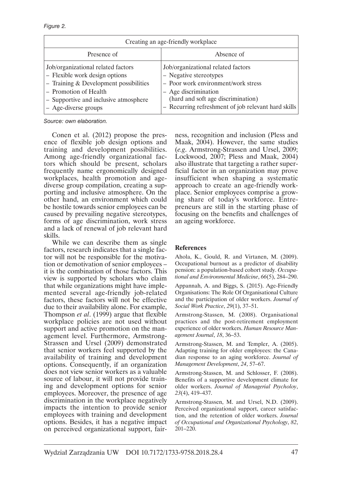| Creating an age-friendly workplace                                                                                                                                                                           |                                                                                                                                                                                                                          |  |  |
|--------------------------------------------------------------------------------------------------------------------------------------------------------------------------------------------------------------|--------------------------------------------------------------------------------------------------------------------------------------------------------------------------------------------------------------------------|--|--|
| Presence of                                                                                                                                                                                                  | Absence of                                                                                                                                                                                                               |  |  |
| Job/organizational related factors<br>- Flexible work design options<br>$-$ Training & Development possibilities<br>- Promotion of Health<br>- Supportive and inclusive atmosphere<br>$-$ Age-diverse groups | Job/organizational related factors<br>- Negative stereotypes<br>- Poor work environment/work stress<br>- Age discrimination<br>(hard and soft age discrimination)<br>- Recurring refreshment of job relevant hard skills |  |  |

*Source: own elaboration.*

Conen et al. (2012) propose the presence of flexible job design options and training and development possibilities. Among age-friendly organizational factors which should be present, scholars frequently name ergonomically designed workplaces, health promotion and agediverse group compilation, creating a supporting and inclusive atmosphere. On the other hand, an environment which could be hostile towards senior employees can be caused by prevailing negative stereotypes, forms of age discrimination, work stress and a lack of renewal of job relevant hard skills.

While we can describe them as single factors, research indicates that a single factor will not be responsible for the motivation or demotivation of senior employees – it is the combination of those factors. This view is supported by scholars who claim that while organizations might have implemented several age-friendly job-related factors, these factors will not be effective due to their availability alone. For example, Thompson *et al*. (1999) argue that flexible workplace policies are not used without support and active promotion on the management level. Furthermore, Armstrong-Strassen and Ursel (2009) demonstrated that senior workers feel supported by the availability of training and development options. Consequently, if an organization does not view senior workers as a valuable source of labour, it will not provide training and development options for senior employees. Moreover, the presence of age discrimination in the workplace negatively impacts the intention to provide senior employees with training and development options. Besides, it has a negative impact on perceived organizational support, fairness, recognition and inclusion (Pless and Maak, 2004). However, the same studies (*e.g*. Armstrong-Strassen and Ursel, 2009; Lockwood, 2007; Pless and Maak, 2004) also illustrate that targeting a rather superficial factor in an organization may prove insufficient when shaping a systematic approach to create an age-friendly workplace. Senior employees comprise a growing share of today's workforce. Entrepreneurs are still in the starting phase of focusing on the benefits and challenges of an ageing workforce.

#### **References**

Ahola, K., Gould, R. and Virtanen, M. (2009). Occupational burnout as a predictor of disability pension: a population-based cohort study. *Occupational and Environmental Medicine*, *66*(5), 284–290.

Appannah, A. and Biggs, S. (2015). Age-Friendly Organisations: The Role Of Organisational Culture and the participation of older workers. *Journal of Social Work Practice*, *29*(1), 37–51.

Armstrong-Stassen, M. (2008). Organisational practices and the post-retirement employment experience of older workers. *Human Resource Management Journal*, *18*, 36–53.

Armstrong-Stassen, M. and Templer, A. (2005). Adapting training for older employees: the Canadian response to an aging workforce. *Journal of Management Development*, *24*, 57–67.

Armstrong-Stassen, M. and Schlosser, F. (2008). Benefits of a supportive development climate for older workers. *Journal of Managerial Psycholoy*, *23*(4), 419–437.

Armstrong-Stassen, M. and Ursel, N.D. (2009). Perceived organizational support, career satisfaction, and the retention of older workers. *Journal of Occupational and Organizational Psychology*, *82*, 201–220.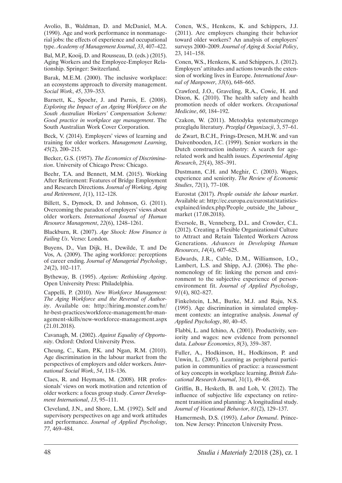Avolio, B., Waldman, D. and McDaniel, M.A. (1990). Age and work performance in nonmanagerial jobs: the effects of experience and occupational type. *Academy of Management Journal*, *33*, 407–422.

Bal, M.P., Kooij, D. and Rousseau, D. (eds.) (2015). Aging Workers and the Employee-Employer Relationship. Springer: Switzerland.

Barak, M.E.M. (2000). The inclusive workplace: an ecosystems approach to diversity management. *Social Work*, *45*, 339–353.

Barnett, K., Spoehr, J. and Parnis, E. (2008). *Exploring the Impact of an Ageing Workforce on the South Australian Workers' Compensation Scheme: Good practice in workplace age management*. The South Australian Work Cover Corporation.

Beck, V. (2014). Employers' views of learning and training for older workers. *Management Learning*, *45*(2), 200–215.

Becker, G.S. (1957). *The Economics of Discrimination*. University of Chicago Press: Chicago.

Beehr, T.A. and Bennett, M.M. (2015). Working After Retirement: Features of Bridge Employment and Research Directions*. Journal of Working, Aging and Retirement*, *1*(1), 112–128.

Billett, S., Dymock, D. and Johnson, G. (2011). Overcoming the paradox of employers' views about older workers. *International Journal of Human Resource Management*, *22*(6), 1248–1261.

Blackburn, R. (2007). *Age Shock: How Finance is Failing Us*. Verso: London.

Buyens, D., Van Dijk, H., Dewilde, T. and De Vos, A. (2009). The aging workforce: perceptions of career ending. *Journal of Managerial Psychology*, *24*(2), 102–117.

Bytheway, B. (1995). *Ageism: Rethinking Ageing*. Open University Press: Philadelphia.

Cappelli, P. (2010). *New Workforce Management: The Aging Workforce and the Reversal of Authority*. Available on: http://hiring.monster.com/hr/ hr-best-practices/workforce-management/hr-management-skills/new-workforce-management.aspx (21.01.2018).

Cavanagh, M. (2002). *Against Equality of Opportunity*. Oxford: Oxford University Press.

Cheung, C., Kam, P.K. and Ngan, R.M. (2010). Age discrimination in the labour market from the perspectives of employers and older workers. *International Social Work*, *54*, 118–136.

Claes, R. and Heymans, M. (2008). HR professionals' views on work motivation and retention of older workers: a focus group study. *Career Development International*, *13*, 95–111.

Cleveland, J.N., and Shore, L.M. (1992). Self and supervisory perspectives on age and work attitudes and performance. *Journal of Applied Psychology*, *77*, 469–484.

Conen, W.S., Henkens, K. and Schippers, J.J. (2011). Are employers changing their behavior toward older workers? An analysis of employers' surveys 2000–2009. *Journal of Aging & Social Policy*, 23, 141–158.

Conen, W.S., Henkens, K. and Schippers, J. (2012). Employers' attitudes and actions towards the extension of working lives in Europe. *International Journal of Manpower*, *33*(6), 648–665.

Crawford, J.O., Graveling, R.A., Cowie, H. and Dixon, K. (2010). The health safety and health promotion needs of older workers. *Occupational Medicine*, *60*, 184–192.

Czakon, W. (2011). Metodyka systematycznego przeglądu literatury. *Przegląd Organizacji*, 3, 57–61.

de Zwart, B.C.H., Frings-Dresen, M.H.W. and van Duivenbooden, J.C. (1999). Senior workers in the Dutch construction industry: A search for agerelated work and health issues. *Experimental Aging Research*, *25*(4), 385–391.

Dustmann, C.H. and Meghir, C. (2003). Wages, experience and seniority. *The Review of Economic Studies*, *72*(1), 77–108.

Eurostat (2017). *People outside the labour market*. Available at: http://ec.europa.eu/eurostat/statisticsexplained/index.php/People\_outside\_the\_labour\_ market (17.08.2018).

Eversole, B., Venneberg, D.L. and Crowder, C.L. (2012). Creating a Flexible Organizational Culture to Attract and Retain Talented Workers Across Generations. *Advances in Developing Human Resources*, *14*(4), 607–625.

Edwards, J.R., Cable, D.M., Williamson, I.O., Lambert, L.S. and Shipp, A.J. (2006). The phenomenology of fit: linking the person and environment to the subjective experience of personenvironment fit. *Journal of Applied Psychology*, *91*(4), 802–827.

Finkelstein, L.M., Burke, M.J. and Raju, N.S. (1995). Age discrimination in simulated employment contexts: an integrative analysis. *Journal of Applied Psychology*, *80*, 40–45.

Flabbi, L. and Ichino, A. (2001). Productivity, seniority and wages: new evidence from personnel data. *Labour Economics*, *8*(3), 359–387.

Fuller, A., Hodkinson, H., Hodkinson, P. and Unwin, L. (2005). Learning as peripheral participation in communities of practice: a reassessment of key concepts in workplace learning. *British Educational Research Journal*, 31(1), 49–68.

Griffin, B., Hesketh, B. and Loh, V. (2012). The influence of subjective life expectancy on retirement transition and planning: A longitudinal study. *Journal of Vocational Behavior*, *81*(2), 129–137.

Hamermesh, D.S. (1993). *Labor Demand*. Princeton. New Jersey: Princeton University Press.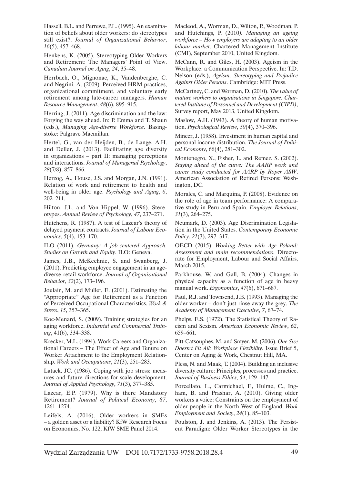Hassell, B.L. and Perrewe, P.L. (1995). An examination of beliefs about older workers: do stereotypes still exist?. *Journal of Organizational Behavior*, *16*(5), 457–468.

Henkens, K. (2005). Stereotyping Older Workers and Retirement: The Managers' Point of View. *Canadian Journal on Aging*, *24*, 35–48.

Herrbach, O., Mignonac, K., Vandenberghe, C. and Negrini, A. (2009). Perceived HRM practices, organizational commitment, and voluntary early retirement among late-career managers. *Human Resource Management*, *48*(6), 895–915.

Herring, J. (2011). Age discrimination and the law: Forging the way ahead. In: P. Emma and T. Shaun (eds.), *Managing Age-diverse Workforce*. Basingstoke: Palgrave Macmillan.

Hertel, G., van der Heijden, B., de Lange, A.H. and Deller, J. (2013). Facilitating age diversity in organizations – part II: managing perceptions and interactions. *Journal of Managerial Psychology*, *28*(7/8), 857–866.

Herzog, A., House, J.S. and Morgan, J.N. (1991). Relation of work and retirement to health and well-being in older age. *Psychology and Aging*, *6*, 202–211.

Hilton, J.L. and Von Hippel, W. (1996). Stereotypes. *Annual Review of Psychology*, *47*, 237–271.

Hutchens, R. (1987). A test of Lazear's theory of delayed payment contracts. *Journal of Labour Economics*, *5*(4), 153–170.

ILO (2011). *Germany: A job-centered Approach. Studies on Growth and Equity*. ILO: Geneva.

James, J.B., McKechnie, S. and Swanberg, J. (2011). Predicting employee engagement in an agediverse retail workforce. *Journal of Organizational Behavior*, *32*(2), 173–196.

Joulain, M. and Mullet, E. (2001). Estimating the "Appropriate" Age for Retirement as a Function of Perceived Occupational Characteristics. *Work & Stress*, *15*, 357–365.

Koc-Menard, S. (2009). Training strategies for an aging workforce. *Industrial and Commercial Training*, 41(6), 334–338.

Krecker, M.L. (1994). Work Careers and Organizational Careers – The Effect of Age and Tenure on Worker Attachment to the Employment Relationship. *Work and Occupations*, *21*(3), 251–283.

Latack, JC. (1986). Coping with job stress: measures and future directions for scale development. *Journal of Applied Psychology*, *71*(3), 377–385.

Lazear, E.P. (1979). Why is there Mandatory Retirement? *Journal of Political Economy*, *87*, 1261–1274.

Leifels, A. (2016). Older workers in SMEs – a golden asset or a liability? KfW Research Focus on Economics, No. 122, KfW SME Panel 2014.

Macleod, A., Worman, D., Wilton, P., Woodman, P. and Hutchings, P. (2010*). Managing an ageing workforce – How employers are adapting to an older labour market*. Chartered Management Institute (CMI), September 2010, United Kingdom.

McCann, R. and Giles, H. (2003). Ageism in the Workplace: a Communication Perspective. In: T.D. Nelson (eds.), *Ageism, Stereotyping and Prejudice Against Older Persons*. Cambridge: MIT Press.

McCartney, C. and Worman, D. (2010). *The value of mature workers to organisations in Singapore. Chartered Institute of Personnel and Development (CIPD)*, Survey report, May 2013, United Kingdom.

Maslow, A.H. (1943). A theory of human motivation. *Psychological Review*, *50*(4), 370–396.

Mincer, J. (1958). Investment in human capital and personal income distribution. *The Journal of Political Economy*, 66(4), 281–302.

Montenegro, X., Fisher, L. and Remez, S. (2002). *Staying ahead of the curve: The AARP work and career study conducted for AARP by Roper ASW*. American Association of Retired Persons: Washington, DC.

Morales, C. and Marquina, P. (2008). Evidence on the role of age in team performance: A comparative study in Peru and Spain. *Employee Relations*, *31*(3), 264–275.

Neumark, D. (2003). Age Discrimination Legislation in the United States. *Contemporary Economic Policy*, *21*(3), 297–317.

OECD (2015). *Working Better with Age Poland: Assessment and main recommendations*. Directorate for Employment, Labour and Social Affairs, March 2015.

Parkhouse, W. and Gall, B. (2004). Changes in physical capacity as a function of age in heavy manual work. *Ergonomics*, *47*(6), 671–687.

Paul, R.J. and Townsend, J.B. (1993). Managing the older worker – don't just rinse away the grey. *The Academy of Management Executive*, *7*, 67–74.

Phelps, E.S. (1972). The Statistical Theory of Racism and Sexism. *American Economic Review*, *62*, 659–661.

Pitt-Catsouphes, M. and Smyer, M. (2006). *One Size Doesn't Fit All: Workplace Flexibility*. Issue Brief 5, Center on Aging & Work, Chestnut Hill, MA.

Pless, N. and Maak, T. (2004). Building an inclusive diversity culture: Principles, processes and practice. *Journal of Business Ethics*, *54*, 129–147.

Porcellato, L., Carmichael, F., Hulme, C., Ingham, B. and Prashar, A. (2010). Giving older workers a voice: Constraints on the employment of older people in the North West of England. *Work Employment and Society*, *24*(1), 85–103.

Poulston, J. and Jenkins, A. (2013). The Persistent Paradigm: Older Worker Stereotypes in the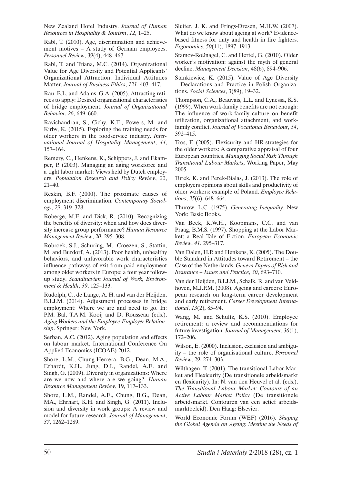New Zealand Hotel Industry. *Journal of Human Resources in Hospitality & Tourism*, *12*, 1–25.

Rabl, T. (2010). Age, discrimination and achievement motives – A study of German employees. *Personnel Review*, *39*(4), 448–467.

Rabl, T. and Triana, M.C. (2014). Organizational Value for Age Diversity and Potential Applicants' Organizational Attraction: Individual Attitudes Matter. *Journal of Business Ethics*, *121*, 403–417.

Rau, B.L. and Adams, G.A. (2005). Attracting retirees to apply: Desired organizational characteristics of bridge employment. *Journal of Organizational Behavior*, *26*, 649–660.

Ravichandran, S., Cichy, K.E., Powers, M. and Kirby, K. (2015). Exploring the training needs for older workers in the foodservice industry. *International Journal of Hospitality Management*, *44*, 157–164.

Remery, C., Henkens, K., Schippers, J. and Ekamper, P. (2003). Managing an aging workforce and a tight labor market: Views held by Dutch employers. *Population Research and Policy Review*, *22*, 21–40.

Reskin, B.F. (2000). The proximate causes of employment discrimination. *Contemporary Sociology*, *29*, 319–328.

Roberge, M.E. and Dick, R. (2010). Recognizing the benefits of diversity: when and how does diversity increase group performance? *Human Resource Management Review*, *20*, 295–308.

Robroek, S.J., Schuring, M., Croezen, S., Stattin, M. and Burdorf, A. (2013). Poor health, unhealthy behaviors, and unfavorable work characteristics influence pathways of exit from paid employment among older workers in Europe: a four year followup study. *Scandinavian Journal of Work, Environment & Health*, *39*, 125–133.

Rudolph, C., de Lange, A. H. and van der Heijden, B.I.J.M. (2014). Adjustment processes in bridge employment: Where we are and need to go. In: P.M. Bal, T.A.M. Kooij and D. Rousseau (eds.), *Aging Workers and the Employee-Employer Relationship*. Springer: New York.

Serban, A.C. (2012). Aging population and effects on labour market. International Conference On Applied Economics (ICOAE) 2012.

Shore, L.M., Chung-Herrera, B.G., Dean, M.A., Erhardt, K.H., Jung, D.I., Randel, A.E. and Singh, G. (2009). Diversity in organizations: Where are we now and where are we going?. *Human Resource Management Review*, 19, 117–133.

Shore, L.M., Randel, A.E., Chung, B.G., Dean, MA., Ehrhart, K.H. and Singh, G. (2011). Inclusion and diversity in work groups: A review and model for future research. *Journal of Management*, *37*, 1262–1289.

Sluiter, J. K. and Frings-Dresen, M.H.W. (2007). What do we know about ageing at work? Evidencebased fitness for duty and health in fire fighters. *Ergonomics*, *50*(11), 1897–1913.

Stamov-Roßnagel, C. and Hertel, G. (2010). Older worker's motivation: against the myth of general decline. *Management Decision*, 48(6), 894–906.

Stankiewicz, K. (2015). Value of Age Diversity – Declarations and Practice in Polish Organizations. *Social Sciences*, 3(89), 19–32.

Thompson, C.A., Beauvais, L.L. and Lynessa, K.S. (1999). When work-family benefits are not enough: The influence of work-family culture on benefit utilization, organizational attachment, and workfamily conflict. *Journal of Vocational Behaviour*, *54*, 392–415.

Tros, F. (2005). Flexicurity and HR-strategies for the older workers: A comparative appraisal of four European countries. *Managing Social Risk Through Transitional Labour Markets*, Working Paper, May 2005.

Turek, K. and Perek-Bialas, J. (2013). The role of employers opinions about skills and productivity of older workers: example of Poland. *Employee Relations*, *35*(6), 648–664.

Thurow, L.C. (1975). *Generating Inequality*. New York: Basic Books.

Van Beek, K.W.H., Koopmans, C.C. and van Praag, B.M.S. (1997). Shopping at the Labor Market: a Real Tale of Fiction. *European Economic Review*, *41*, 295–317.

Van Dalen, H.P. and Henkens, K. (2005). The Double Standard in Attitudes toward Retirement – the Case of the Netherlands. *Geneva Papers of Risk and Insurance – Issues and Practice*, *30*, 693–710.

Van der Heijden, B.I.J.M., Schalk, R. and van Veldhoven, M.J.P.M. (2008). Ageing and careers: European research on long-term career development and early retirement. *Career Development International*, *13*(2), 85–94.

Wang, M. and Schultz, K.S. (2010). Employee retirement: a review and recommendations for future investigation. *Journal of Management*, *36*(1), 172–206.

Wilson, E. (2000). Inclusion, exclusion and ambiguity – the role of organisational culture. *Personnel Review*, *29*, 274–303.

Wilthagen, T. (2001). The transitional Labor Market and Flexicurity (De transitionele arbeidsmarkt en flexicurity). In: N. van den Heuvel et al. (eds.), *The Transitional Labour Market: Contours of an Active Labour Market Policy* (De transitionele arbeidsmarkt. Contouren van een actief arbeidsmarktbeleid). Den Haag: Elsevier.

World Economic Forum (WEF) (2016). *Shaping the Global Agenda on Ageing: Meeting the Needs of*